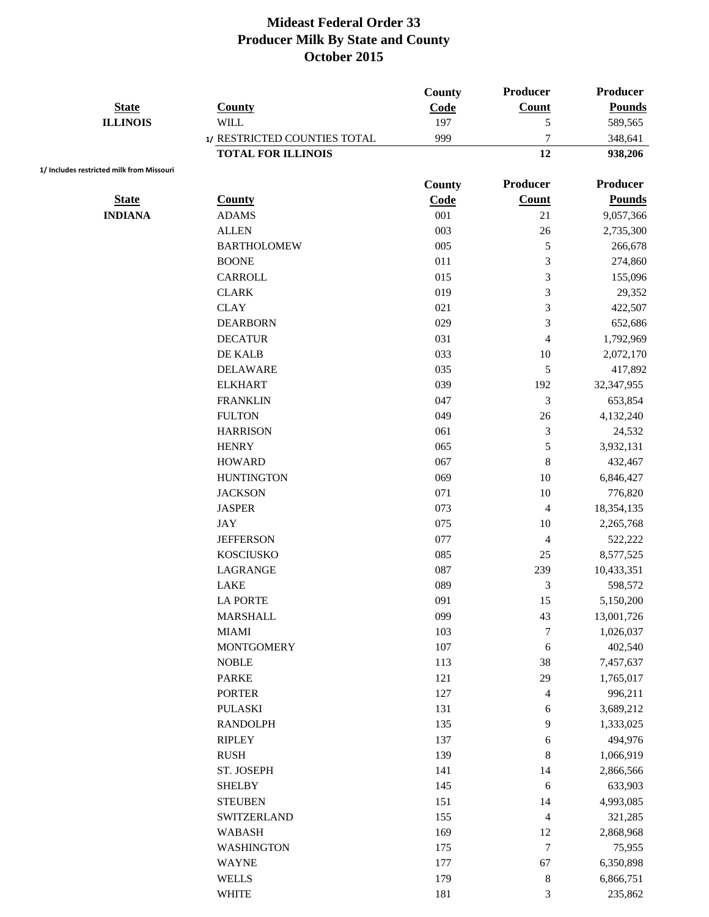|                                           |                                   | County | <b>Producer</b>                | <b>Producer</b> |
|-------------------------------------------|-----------------------------------|--------|--------------------------------|-----------------|
| <b>State</b>                              | <b>County</b>                     | Code   | Count                          | <b>Pounds</b>   |
| <b>ILLINOIS</b>                           | <b>WILL</b>                       | 197    | 5                              | 589,565         |
|                                           | 1/ RESTRICTED COUNTIES TOTAL      | 999    | 7                              | 348,641         |
|                                           | <b>TOTAL FOR ILLINOIS</b>         |        | 12                             | 938,206         |
| 1/ Includes restricted milk from Missouri |                                   | County | <b>Producer</b>                | <b>Producer</b> |
| <b>State</b>                              | <b>County</b>                     | Code   | Count                          | <b>Pounds</b>   |
| <b>INDIANA</b>                            | <b>ADAMS</b>                      | 001    | 21                             | 9,057,366       |
|                                           | <b>ALLEN</b>                      | 003    | 26                             | 2,735,300       |
|                                           | <b>BARTHOLOMEW</b>                | 005    | $\sqrt{5}$                     | 266,678         |
|                                           | <b>BOONE</b>                      | 011    | 3                              | 274,860         |
|                                           | CARROLL                           | 015    | 3                              | 155,096         |
|                                           | <b>CLARK</b>                      | 019    | 3                              | 29,352          |
|                                           | <b>CLAY</b>                       | 021    | 3                              | 422,507         |
|                                           | <b>DEARBORN</b>                   | 029    | 3                              | 652,686         |
|                                           | <b>DECATUR</b>                    | 031    |                                | 1,792,969       |
|                                           | DE KALB                           | 033    | $\overline{\mathcal{A}}$<br>10 |                 |
|                                           |                                   | 035    |                                | 2,072,170       |
|                                           | <b>DELAWARE</b><br><b>ELKHART</b> | 039    | $\sqrt{5}$<br>192              | 417,892         |
|                                           |                                   | 047    |                                | 32,347,955      |
|                                           | <b>FRANKLIN</b>                   | 049    | 3                              | 653,854         |
|                                           | <b>FULTON</b>                     |        | 26                             | 4,132,240       |
|                                           | <b>HARRISON</b>                   | 061    | 3                              | 24,532          |
|                                           | <b>HENRY</b>                      | 065    | 5                              | 3,932,131       |
|                                           | <b>HOWARD</b>                     | 067    | $\,8\,$                        | 432,467         |
|                                           | <b>HUNTINGTON</b>                 | 069    | 10                             | 6,846,427       |
|                                           | <b>JACKSON</b>                    | 071    | 10                             | 776,820         |
|                                           | <b>JASPER</b>                     | 073    | 4                              | 18,354,135      |
|                                           | <b>JAY</b>                        | 075    | 10                             | 2,265,768       |
|                                           | <b>JEFFERSON</b>                  | 077    | $\overline{4}$                 | 522,222         |
|                                           | <b>KOSCIUSKO</b>                  | 085    | 25                             | 8,577,525       |
|                                           | LAGRANGE                          | 087    | 239                            | 10,433,351      |
|                                           | <b>LAKE</b>                       | 089    | 3                              | 598,572         |
|                                           | <b>LA PORTE</b>                   | 091    | 15                             | 5,150,200       |
|                                           | MARSHALL                          | 099    | 43                             | 13,001,726      |
|                                           | <b>MIAMI</b>                      | 103    | $\boldsymbol{7}$               | 1,026,037       |
|                                           | <b>MONTGOMERY</b>                 | 107    | 6                              | 402,540         |
|                                           | <b>NOBLE</b>                      | 113    | 38                             | 7,457,637       |
|                                           | <b>PARKE</b>                      | 121    | 29                             | 1,765,017       |
|                                           | <b>PORTER</b>                     | 127    | 4                              | 996,211         |
|                                           | <b>PULASKI</b>                    | 131    | 6                              | 3,689,212       |
|                                           | <b>RANDOLPH</b>                   | 135    | 9                              | 1,333,025       |
|                                           | <b>RIPLEY</b>                     | 137    | 6                              | 494,976         |
|                                           | <b>RUSH</b>                       | 139    | 8                              | 1,066,919       |
|                                           | ST. JOSEPH                        | 141    | 14                             | 2,866,566       |
|                                           | <b>SHELBY</b>                     | 145    | 6                              | 633,903         |
|                                           | <b>STEUBEN</b>                    | 151    | 14                             | 4,993,085       |
|                                           | <b>SWITZERLAND</b>                | 155    | $\overline{4}$                 | 321,285         |
|                                           | <b>WABASH</b>                     | 169    | 12                             | 2,868,968       |
|                                           | <b>WASHINGTON</b>                 | 175    | $\boldsymbol{7}$               | 75,955          |
|                                           | <b>WAYNE</b>                      | 177    | 67                             | 6,350,898       |
|                                           | <b>WELLS</b>                      | 179    | $\,8\,$                        | 6,866,751       |
|                                           | <b>WHITE</b>                      | 181    | $\ensuremath{\mathfrak{Z}}$    | 235,862         |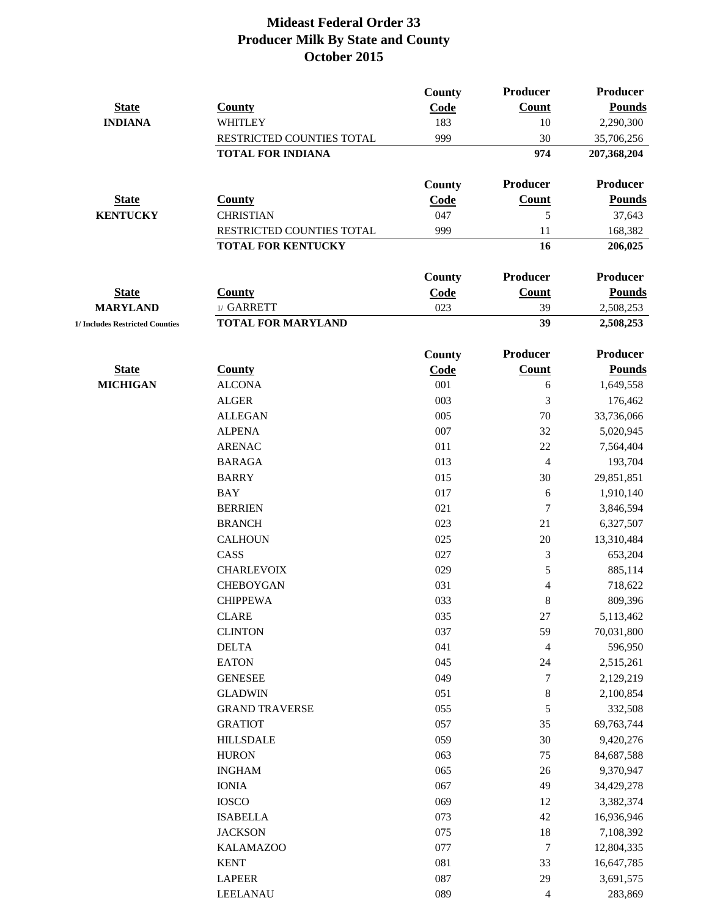|                                 |                           | <b>County</b> | <b>Producer</b>  | <b>Producer</b> |
|---------------------------------|---------------------------|---------------|------------------|-----------------|
| <b>State</b>                    | <b>County</b>             | Code          | Count            | <b>Pounds</b>   |
| <b>INDIANA</b>                  | <b>WHITLEY</b>            | 183           | 10               | 2,290,300       |
|                                 | RESTRICTED COUNTIES TOTAL | 999           | 30               | 35,706,256      |
|                                 | <b>TOTAL FOR INDIANA</b>  |               | 974              | 207,368,204     |
|                                 |                           | County        | <b>Producer</b>  | <b>Producer</b> |
| <b>State</b>                    | <b>County</b>             | Code          | <b>Count</b>     | <b>Pounds</b>   |
| <b>KENTUCKY</b>                 | <b>CHRISTIAN</b>          | 047           | 5                | 37,643          |
|                                 | RESTRICTED COUNTIES TOTAL | 999           | 11               | 168,382         |
|                                 | <b>TOTAL FOR KENTUCKY</b> |               | 16               | 206,025         |
|                                 |                           | County        | <b>Producer</b>  | <b>Producer</b> |
| <b>State</b>                    | <b>County</b>             | Code          | Count            | <b>Pounds</b>   |
| <b>MARYLAND</b>                 | 1/ GARRETT                | 023           | 39               | 2,508,253       |
| 1/ Includes Restricted Counties | <b>TOTAL FOR MARYLAND</b> |               | 39               | 2,508,253       |
|                                 |                           | County        | <b>Producer</b>  | <b>Producer</b> |
| <b>State</b>                    | <b>County</b>             | Code          | Count            | <b>Pounds</b>   |
| <b>MICHIGAN</b>                 | <b>ALCONA</b>             | 001           | 6                | 1,649,558       |
|                                 | <b>ALGER</b>              | 003           | 3                | 176,462         |
|                                 | <b>ALLEGAN</b>            | 005           | 70               | 33,736,066      |
|                                 | <b>ALPENA</b>             | 007           | 32               | 5,020,945       |
|                                 | <b>ARENAC</b>             | 011           | 22               | 7,564,404       |
|                                 | <b>BARAGA</b>             | 013           | $\overline{4}$   | 193,704         |
|                                 | <b>BARRY</b>              | 015           | 30               | 29,851,851      |
|                                 | <b>BAY</b>                | 017           | 6                | 1,910,140       |
|                                 | <b>BERRIEN</b>            | 021           | $\tau$           | 3,846,594       |
|                                 | <b>BRANCH</b>             | 023           | 21               | 6,327,507       |
|                                 | <b>CALHOUN</b>            | 025           | 20               | 13,310,484      |
|                                 | CASS                      | 027           | 3                | 653,204         |
|                                 | <b>CHARLEVOIX</b>         | 029           | 5                | 885,114         |
|                                 | <b>CHEBOYGAN</b>          | 031           | 4                | 718,622         |
|                                 | <b>CHIPPEWA</b>           | 033           | 8                | 809,396         |
|                                 | <b>CLARE</b>              | 035           | $27\,$           | 5,113,462       |
|                                 | <b>CLINTON</b>            | 037           | 59               | 70,031,800      |
|                                 | <b>DELTA</b>              | 041           | 4                | 596,950         |
|                                 | <b>EATON</b>              | 045           | 24               | 2,515,261       |
|                                 | <b>GENESEE</b>            | 049           | 7                | 2,129,219       |
|                                 | <b>GLADWIN</b>            | 051           | $\,8\,$          | 2,100,854       |
|                                 | <b>GRAND TRAVERSE</b>     | 055           | 5                | 332,508         |
|                                 | <b>GRATIOT</b>            | 057           | 35               | 69,763,744      |
|                                 | <b>HILLSDALE</b>          | 059           | 30               | 9,420,276       |
|                                 | <b>HURON</b>              | 063           | 75               | 84,687,588      |
|                                 | <b>INGHAM</b>             | 065           | 26               | 9,370,947       |
|                                 | <b>IONIA</b>              | 067           | 49               | 34,429,278      |
|                                 | <b>IOSCO</b>              | 069           | 12               | 3,382,374       |
|                                 | <b>ISABELLA</b>           | 073           | 42               | 16,936,946      |
|                                 | <b>JACKSON</b>            | 075           | 18               | 7,108,392       |
|                                 | <b>KALAMAZOO</b>          | 077           | $\boldsymbol{7}$ | 12,804,335      |
|                                 | <b>KENT</b>               | 081           | 33               | 16,647,785      |
|                                 | <b>LAPEER</b>             | 087           | 29               | 3,691,575       |
|                                 | LEELANAU                  | 089           | 4                | 283,869         |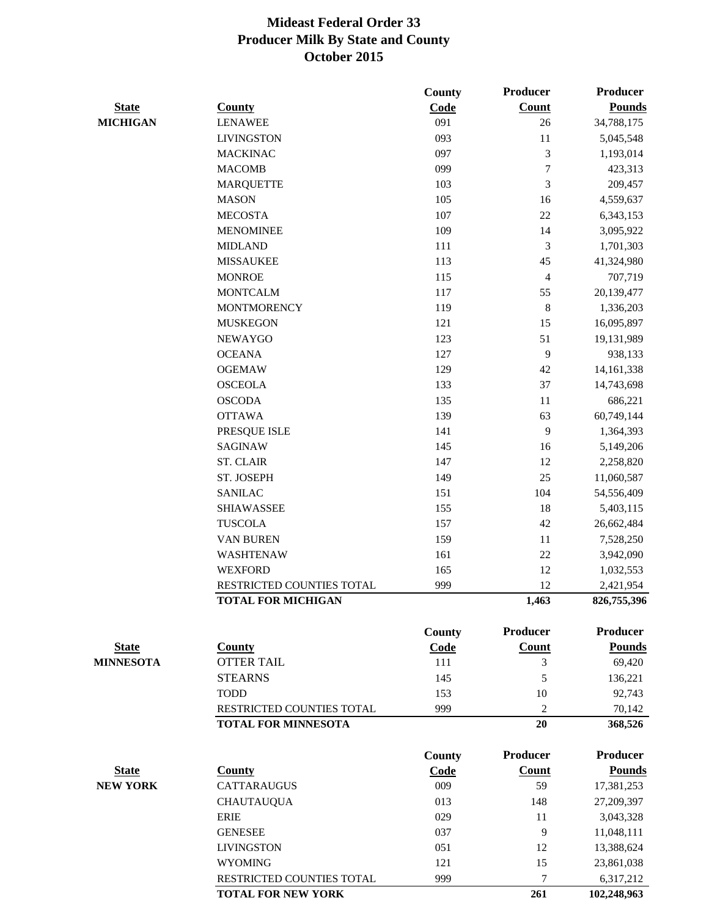|                  |                                                         | County | <b>Producer</b>          | <b>Producer</b>   |
|------------------|---------------------------------------------------------|--------|--------------------------|-------------------|
| <b>State</b>     | <b>County</b>                                           | Code   | <b>Count</b>             | <b>Pounds</b>     |
| <b>MICHIGAN</b>  | <b>LENAWEE</b>                                          | 091    | 26                       | 34,788,175        |
|                  | <b>LIVINGSTON</b>                                       | 093    | 11                       | 5,045,548         |
|                  | <b>MACKINAC</b>                                         | 097    | 3                        | 1,193,014         |
|                  | <b>MACOMB</b>                                           | 099    | $\tau$                   | 423,313           |
|                  | <b>MARQUETTE</b>                                        | 103    | 3                        | 209,457           |
|                  | <b>MASON</b>                                            | 105    | 16                       | 4,559,637         |
|                  | <b>MECOSTA</b>                                          | 107    | $22\,$                   | 6,343,153         |
|                  | <b>MENOMINEE</b>                                        | 109    | 14                       | 3,095,922         |
|                  | <b>MIDLAND</b>                                          | 111    | 3                        | 1,701,303         |
|                  | <b>MISSAUKEE</b>                                        | 113    | 45                       | 41,324,980        |
|                  | <b>MONROE</b>                                           | 115    | $\overline{\mathcal{A}}$ | 707,719           |
|                  | <b>MONTCALM</b>                                         | 117    | 55                       | 20,139,477        |
|                  | <b>MONTMORENCY</b>                                      | 119    | $\,8\,$                  | 1,336,203         |
|                  | <b>MUSKEGON</b>                                         | 121    | 15                       | 16,095,897        |
|                  | <b>NEWAYGO</b>                                          | 123    | 51                       | 19,131,989        |
|                  | <b>OCEANA</b>                                           | 127    | 9                        | 938,133           |
|                  | <b>OGEMAW</b>                                           | 129    | 42                       | 14, 161, 338      |
|                  | <b>OSCEOLA</b>                                          | 133    | 37                       | 14,743,698        |
|                  | <b>OSCODA</b>                                           | 135    | 11                       | 686,221           |
|                  | <b>OTTAWA</b>                                           | 139    | 63                       | 60,749,144        |
|                  | PRESQUE ISLE                                            | 141    | 9                        | 1,364,393         |
|                  | <b>SAGINAW</b>                                          | 145    | 16                       | 5,149,206         |
|                  | <b>ST. CLAIR</b>                                        | 147    | 12                       | 2,258,820         |
|                  | ST. JOSEPH                                              | 149    | 25                       | 11,060,587        |
|                  | <b>SANILAC</b>                                          | 151    | 104                      | 54,556,409        |
|                  | <b>SHIAWASSEE</b>                                       | 155    | 18                       | 5,403,115         |
|                  | <b>TUSCOLA</b>                                          | 157    | 42                       | 26,662,484        |
|                  | <b>VAN BUREN</b>                                        | 159    | 11                       | 7,528,250         |
|                  | WASHTENAW                                               | 161    | 22                       | 3,942,090         |
|                  | <b>WEXFORD</b>                                          | 165    | 12                       | 1,032,553         |
|                  | RESTRICTED COUNTIES TOTAL                               | 999    | 12                       | 2,421,954         |
|                  | <b>TOTAL FOR MICHIGAN</b>                               |        | 1,463                    | 826,755,396       |
|                  |                                                         |        |                          |                   |
|                  |                                                         | County | <b>Producer</b>          | <b>Producer</b>   |
| <b>State</b>     | <b>County</b>                                           | Code   | Count                    | <b>Pounds</b>     |
| <b>MINNESOTA</b> | <b>OTTER TAIL</b>                                       | 111    | 3                        | 69,420            |
|                  | <b>STEARNS</b>                                          | 145    | 5                        | 136,221           |
|                  | <b>TODD</b>                                             | 153    | 10                       | 92,743            |
|                  | RESTRICTED COUNTIES TOTAL<br><b>TOTAL FOR MINNESOTA</b> | 999    | $\overline{2}$<br>20     | 70,142<br>368,526 |
|                  |                                                         |        |                          |                   |
|                  |                                                         | County | <b>Producer</b>          | <b>Producer</b>   |
| <b>State</b>     | <b>County</b>                                           | Code   | Count                    | <b>Pounds</b>     |
| <b>NEW YORK</b>  | <b>CATTARAUGUS</b>                                      | 009    | 59                       | 17,381,253        |
|                  | <b>CHAUTAUQUA</b>                                       | 013    | 148                      | 27,209,397        |
|                  | <b>ERIE</b>                                             | 029    | 11                       | 3,043,328         |
|                  | <b>GENESEE</b>                                          | 037    | 9                        | 11,048,111        |
|                  | <b>LIVINGSTON</b>                                       | 051    | 12                       | 13,388,624        |
|                  | <b>WYOMING</b>                                          | 121    | 15                       | 23,861,038        |
|                  | RESTRICTED COUNTIES TOTAL                               | 999    | $\overline{7}$           | 6,317,212         |
|                  | <b>TOTAL FOR NEW YORK</b>                               |        | 261                      | 102,248,963       |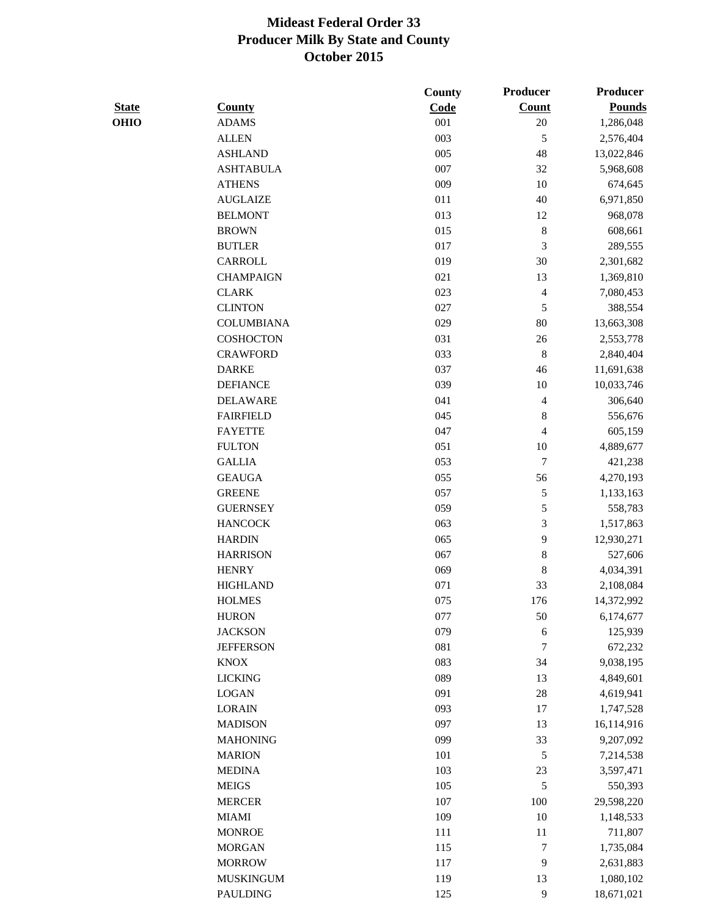|              |                   | County | <b>Producer</b>  | <b>Producer</b> |
|--------------|-------------------|--------|------------------|-----------------|
| <b>State</b> | <b>County</b>     | Code   | <b>Count</b>     | <b>Pounds</b>   |
| <b>OHIO</b>  | <b>ADAMS</b>      | 001    | $20\,$           | 1,286,048       |
|              | <b>ALLEN</b>      | 003    | $\mathfrak s$    | 2,576,404       |
|              | <b>ASHLAND</b>    | 005    | 48               | 13,022,846      |
|              | <b>ASHTABULA</b>  | 007    | 32               | 5,968,608       |
|              | <b>ATHENS</b>     | 009    | 10               | 674,645         |
|              | <b>AUGLAIZE</b>   | 011    | 40               | 6,971,850       |
|              | <b>BELMONT</b>    | 013    | 12               | 968,078         |
|              | <b>BROWN</b>      | 015    | $\,8\,$          | 608,661         |
|              | <b>BUTLER</b>     | 017    | $\mathfrak{Z}$   | 289,555         |
|              | CARROLL           | 019    | 30               | 2,301,682       |
|              | <b>CHAMPAIGN</b>  | 021    | 13               | 1,369,810       |
|              | <b>CLARK</b>      | 023    | 4                | 7,080,453       |
|              | <b>CLINTON</b>    | 027    | $\mathfrak s$    | 388,554         |
|              | <b>COLUMBIANA</b> | 029    | 80               | 13,663,308      |
|              | <b>COSHOCTON</b>  | 031    | 26               | 2,553,778       |
|              | <b>CRAWFORD</b>   | 033    | $\,$ 8 $\,$      | 2,840,404       |
|              | <b>DARKE</b>      | 037    | 46               | 11,691,638      |
|              | <b>DEFIANCE</b>   | 039    | 10               | 10,033,746      |
|              | <b>DELAWARE</b>   | 041    | 4                | 306,640         |
|              | <b>FAIRFIELD</b>  | 045    | $\,$ 8 $\,$      | 556,676         |
|              | <b>FAYETTE</b>    | 047    | 4                | 605,159         |
|              | <b>FULTON</b>     | 051    | 10               | 4,889,677       |
|              | <b>GALLIA</b>     | 053    | $\tau$           | 421,238         |
|              | <b>GEAUGA</b>     | 055    | 56               | 4,270,193       |
|              | <b>GREENE</b>     | 057    | $\sqrt{5}$       | 1,133,163       |
|              | <b>GUERNSEY</b>   | 059    | $\mathfrak s$    | 558,783         |
|              | <b>HANCOCK</b>    | 063    | 3                | 1,517,863       |
|              | <b>HARDIN</b>     | 065    | 9                | 12,930,271      |
|              | <b>HARRISON</b>   | 067    | $\,$ 8 $\,$      | 527,606         |
|              | <b>HENRY</b>      | 069    | $\,$ 8 $\,$      | 4,034,391       |
|              | <b>HIGHLAND</b>   | 071    | 33               | 2,108,084       |
|              | <b>HOLMES</b>     | 075    | 176              | 14,372,992      |
|              | <b>HURON</b>      | 077    | 50               | 6,174,677       |
|              | <b>JACKSON</b>    | 079    | 6                | 125,939         |
|              | <b>JEFFERSON</b>  | 081    | $\tau$           | 672,232         |
|              | <b>KNOX</b>       | 083    | 34               | 9,038,195       |
|              | <b>LICKING</b>    | 089    | 13               | 4,849,601       |
|              | <b>LOGAN</b>      | 091    | 28               | 4,619,941       |
|              | <b>LORAIN</b>     | 093    | 17               | 1,747,528       |
|              | <b>MADISON</b>    | 097    | 13               | 16,114,916      |
|              | <b>MAHONING</b>   | 099    | 33               | 9,207,092       |
|              | <b>MARION</b>     | 101    |                  |                 |
|              |                   | 103    | $\mathfrak s$    | 7,214,538       |
|              | <b>MEDINA</b>     |        | 23               | 3,597,471       |
|              | <b>MEIGS</b>      | 105    | $\mathfrak s$    | 550,393         |
|              | <b>MERCER</b>     | 107    | 100              | 29,598,220      |
|              | <b>MIAMI</b>      | 109    | 10               | 1,148,533       |
|              | <b>MONROE</b>     | 111    | 11               | 711,807         |
|              | <b>MORGAN</b>     | 115    | $\boldsymbol{7}$ | 1,735,084       |
|              | <b>MORROW</b>     | 117    | 9                | 2,631,883       |
|              | <b>MUSKINGUM</b>  | 119    | 13               | 1,080,102       |
|              | PAULDING          | 125    | 9                | 18,671,021      |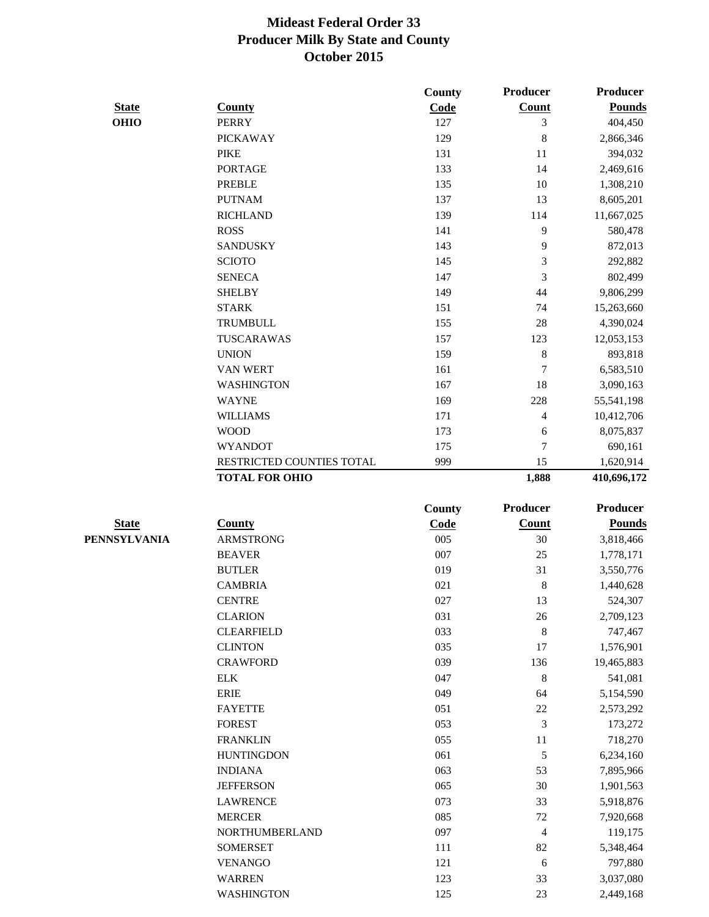|              |                                 | County     | Producer         | <b>Producer</b>      |
|--------------|---------------------------------|------------|------------------|----------------------|
| <b>State</b> | <b>County</b>                   | Code       | Count            | <b>Pounds</b>        |
| <b>OHIO</b>  | <b>PERRY</b>                    | 127        | 3                | 404,450              |
|              | <b>PICKAWAY</b>                 | 129        | 8                | 2,866,346            |
|              | <b>PIKE</b>                     | 131        | 11               | 394,032              |
|              | <b>PORTAGE</b>                  | 133        | 14               | 2,469,616            |
|              | <b>PREBLE</b>                   | 135        | 10               | 1,308,210            |
|              | <b>PUTNAM</b>                   | 137        | 13               | 8,605,201            |
|              | <b>RICHLAND</b>                 | 139        | 114              | 11,667,025           |
|              | <b>ROSS</b>                     | 141        | 9                | 580,478              |
|              | <b>SANDUSKY</b>                 | 143        | 9                | 872,013              |
|              | <b>SCIOTO</b>                   | 145        | 3                | 292,882              |
|              | <b>SENECA</b>                   | 147        | 3                | 802,499              |
|              | <b>SHELBY</b>                   | 149        | 44               | 9,806,299            |
|              | <b>STARK</b>                    | 151        | 74               | 15,263,660           |
|              | <b>TRUMBULL</b>                 | 155        | 28               | 4,390,024            |
|              | TUSCARAWAS                      | 157        | 123              | 12,053,153           |
|              | <b>UNION</b>                    | 159        | 8                | 893,818              |
|              | <b>VAN WERT</b>                 | 161        | 7                | 6,583,510            |
|              | <b>WASHINGTON</b>               | 167        | 18               | 3,090,163            |
|              | <b>WAYNE</b>                    | 169        | 228              | 55,541,198           |
|              | <b>WILLIAMS</b>                 | 171        | 4                | 10,412,706           |
|              | <b>WOOD</b>                     | 173        | 6                | 8,075,837            |
|              | <b>WYANDOT</b>                  | 175        | 7                | 690,161              |
|              | RESTRICTED COUNTIES TOTAL       | 999        | 15               | 1,620,914            |
|              | <b>TOTAL FOR OHIO</b>           |            | 1,888            | 410,696,172          |
|              |                                 |            |                  |                      |
|              |                                 |            |                  |                      |
|              |                                 | County     | <b>Producer</b>  | <b>Producer</b>      |
| <b>State</b> | <b>County</b>                   | Code       | Count            | <b>Pounds</b>        |
| PENNSYLVANIA | <b>ARMSTRONG</b>                | 005        | 30               | 3,818,466            |
|              | <b>BEAVER</b>                   | 007        | 25               | 1,778,171            |
|              | <b>BUTLER</b>                   | 019        | 31               | 3,550,776            |
|              | <b>CAMBRIA</b>                  | 021        | 8                | 1,440,628            |
|              | <b>CENTRE</b>                   | 027        | 13               | 524,307              |
|              | <b>CLARION</b>                  | 031        | 26               | 2,709,123            |
|              | <b>CLEARFIELD</b>               | 033        | 8                | 747,467              |
|              | <b>CLINTON</b>                  | 035        | 17               | 1,576,901            |
|              | <b>CRAWFORD</b>                 | 039        | 136              | 19,465,883           |
|              | <b>ELK</b>                      | 047        | 8                | 541,081              |
|              | <b>ERIE</b>                     | 049        | 64               | 5,154,590            |
|              | <b>FAYETTE</b>                  | 051        | $22\,$           | 2,573,292            |
|              | <b>FOREST</b>                   | 053        | 3                | 173,272              |
|              | <b>FRANKLIN</b>                 | 055        | 11               | 718,270              |
|              | <b>HUNTINGDON</b>               | 061        | 5                | 6,234,160            |
|              | <b>INDIANA</b>                  | 063        | 53               | 7,895,966            |
|              | <b>JEFFERSON</b>                | 065        | 30               | 1,901,563            |
|              | <b>LAWRENCE</b>                 | 073        | 33               | 5,918,876            |
|              | <b>MERCER</b>                   | 085        | $72\,$           | 7,920,668            |
|              | NORTHUMBERLAND                  | 097        | 4                | 119,175              |
|              |                                 |            |                  |                      |
|              | <b>SOMERSET</b>                 | 111        | 82               | 5,348,464            |
|              | <b>VENANGO</b><br><b>WARREN</b> | 121<br>123 | $\sqrt{6}$<br>33 | 797,880<br>3,037,080 |